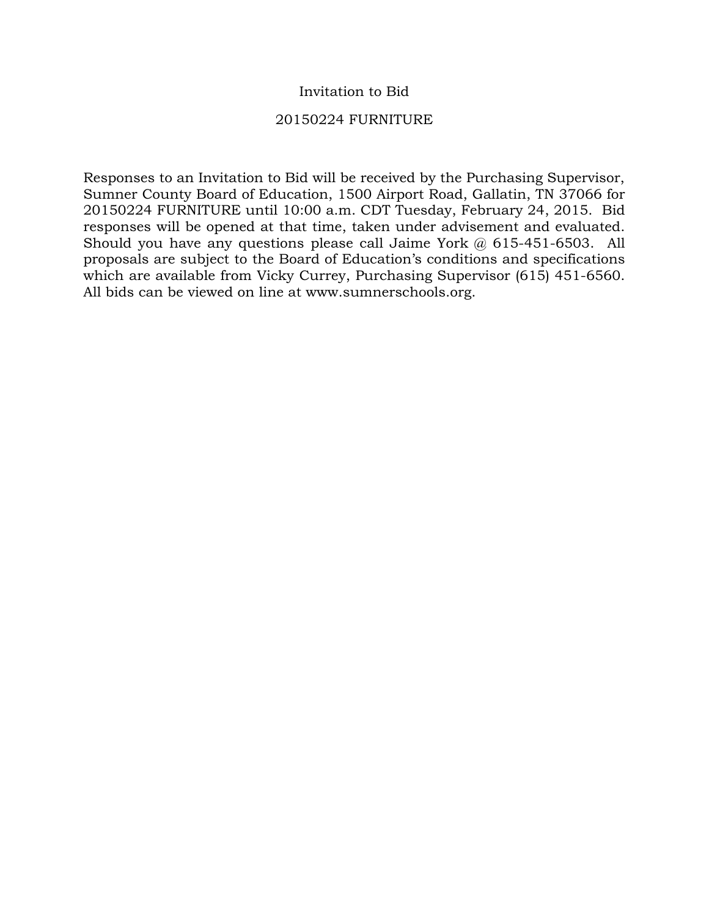#### Invitation to Bid

#### 20150224 FURNITURE

Responses to an Invitation to Bid will be received by the Purchasing Supervisor, Sumner County Board of Education, 1500 Airport Road, Gallatin, TN 37066 for 20150224 FURNITURE until 10:00 a.m. CDT Tuesday, February 24, 2015. Bid responses will be opened at that time, taken under advisement and evaluated. Should you have any questions please call Jaime York @ 615-451-6503. All proposals are subject to the Board of Education's conditions and specifications which are available from Vicky Currey, Purchasing Supervisor (615) 451-6560. All bids can be viewed on line at www.sumnerschools.org.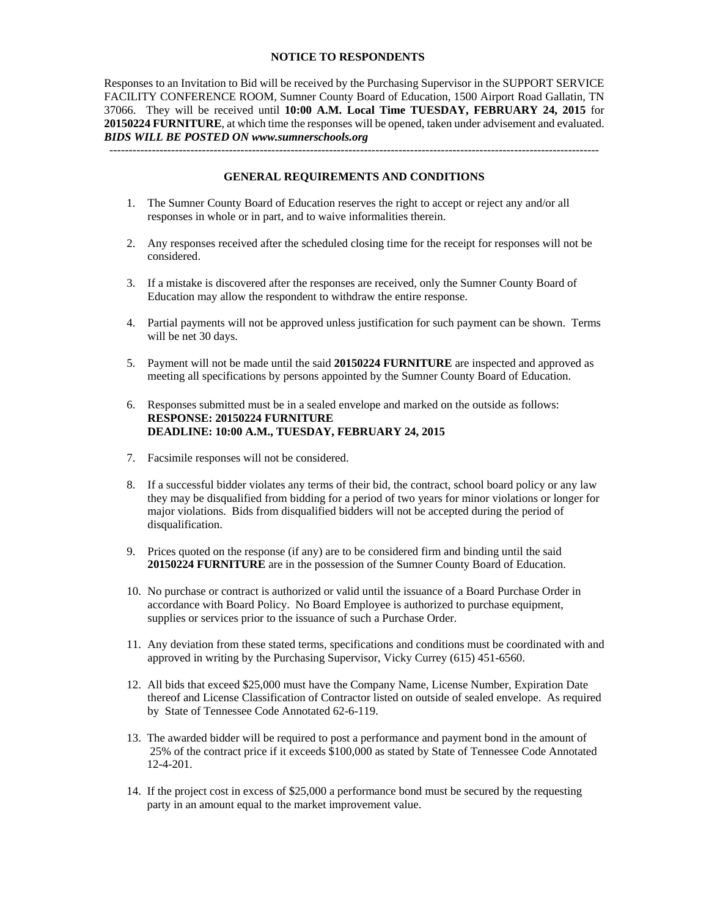#### **NOTICE TO RESPONDENTS**

Responses to an Invitation to Bid will be received by the Purchasing Supervisor in the SUPPORT SERVICE FACILITY CONFERENCE ROOM, Sumner County Board of Education, 1500 Airport Road Gallatin, TN 37066. They will be received until **10:00 A.M. Local Time TUESDAY, FEBRUARY 24, 2015** for **20150224 FURNITURE**, at which time the responses will be opened, taken under advisement and evaluated. *BIDS WILL BE POSTED ON www.sumnerschools.org* 

**GENERAL REQUIREMENTS AND CONDITIONS** 

-------------------------------------------------------------------------------------------------------------------------------

- 1. The Sumner County Board of Education reserves the right to accept or reject any and/or all responses in whole or in part, and to waive informalities therein.
- 2. Any responses received after the scheduled closing time for the receipt for responses will not be considered.
- 3. If a mistake is discovered after the responses are received, only the Sumner County Board of Education may allow the respondent to withdraw the entire response.
- 4. Partial payments will not be approved unless justification for such payment can be shown. Terms will be net 30 days.
- 5. Payment will not be made until the said **20150224 FURNITURE** are inspected and approved as meeting all specifications by persons appointed by the Sumner County Board of Education.
- 6. Responses submitted must be in a sealed envelope and marked on the outside as follows: **RESPONSE: 20150224 FURNITURE DEADLINE: 10:00 A.M., TUESDAY, FEBRUARY 24, 2015**
- 7. Facsimile responses will not be considered.
- 8. If a successful bidder violates any terms of their bid, the contract, school board policy or any law they may be disqualified from bidding for a period of two years for minor violations or longer for major violations. Bids from disqualified bidders will not be accepted during the period of disqualification.
- 9. Prices quoted on the response (if any) are to be considered firm and binding until the said **20150224 FURNITURE** are in the possession of the Sumner County Board of Education.
- 10. No purchase or contract is authorized or valid until the issuance of a Board Purchase Order in accordance with Board Policy. No Board Employee is authorized to purchase equipment, supplies or services prior to the issuance of such a Purchase Order.
- 11. Any deviation from these stated terms, specifications and conditions must be coordinated with and approved in writing by the Purchasing Supervisor, Vicky Currey (615) 451-6560.
- 12. All bids that exceed \$25,000 must have the Company Name, License Number, Expiration Date thereof and License Classification of Contractor listed on outside of sealed envelope. As required by State of Tennessee Code Annotated 62-6-119.
- 13. The awarded bidder will be required to post a performance and payment bond in the amount of 25% of the contract price if it exceeds \$100,000 as stated by State of Tennessee Code Annotated 12-4-201.
- 14. If the project cost in excess of \$25,000 a performance bond must be secured by the requesting party in an amount equal to the market improvement value.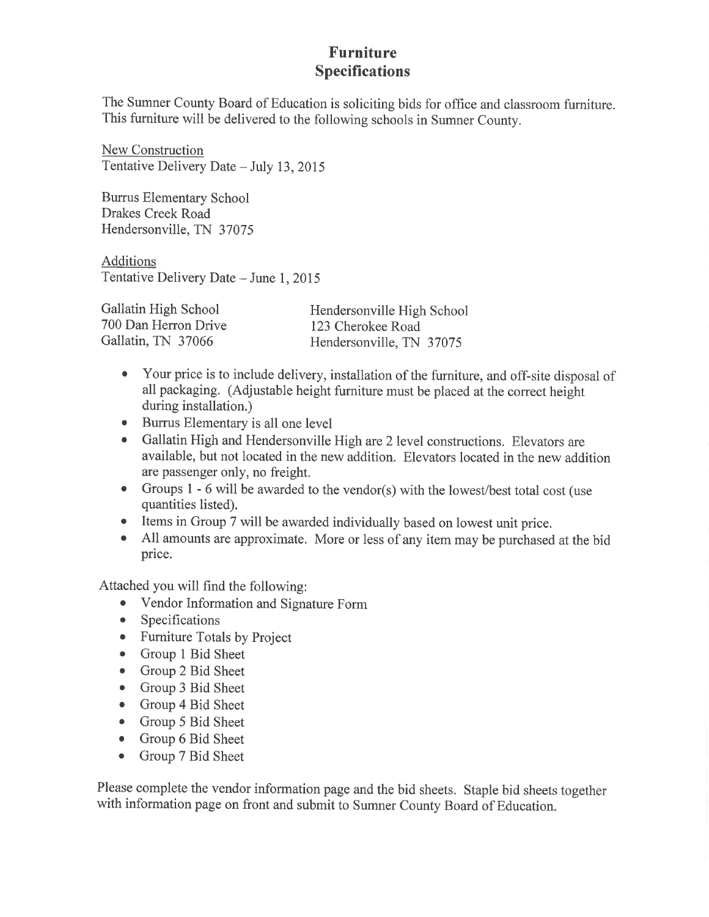#### **Furniture Specifications**

The Sumner County Board of Education is soliciting bids for office and classroom furniture. This furniture will be delivered to the following schools in Sumner County.

New Construction Tentative Delivery Date - July 13, 2015

**Burrus Elementary School** Drakes Creek Road Hendersonville, TN 37075

**Additions** Tentative Delivery Date - June 1, 2015

Gallatin High School Hendersonville High School 700 Dan Herron Drive 123 Cherokee Road Gallatin, TN 37066 Hendersonville, TN 37075

- Your price is to include delivery, installation of the furniture, and off-site disposal of all packaging. (Adjustable height furniture must be placed at the correct height during installation.)
- Burrus Elementary is all one level
- Gallatin High and Hendersonville High are 2 level constructions. Elevators are available, but not located in the new addition. Elevators located in the new addition are passenger only, no freight.
- Groups 1 6 will be awarded to the vendor(s) with the lowest/best total cost (use quantities listed).
- Items in Group 7 will be awarded individually based on lowest unit price.
- All amounts are approximate. More or less of any item may be purchased at the bid  $\bullet$ price.

Attached you will find the following:

- Vendor Information and Signature Form
- Specifications  $\bullet$
- Furniture Totals by Project
- Group 1 Bid Sheet
- Group 2 Bid Sheet
- Group 3 Bid Sheet  $\bullet$
- Group 4 Bid Sheet
- Group 5 Bid Sheet
- Group 6 Bid Sheet
- $\bullet$ Group 7 Bid Sheet

Please complete the vendor information page and the bid sheets. Staple bid sheets together with information page on front and submit to Sumner County Board of Education.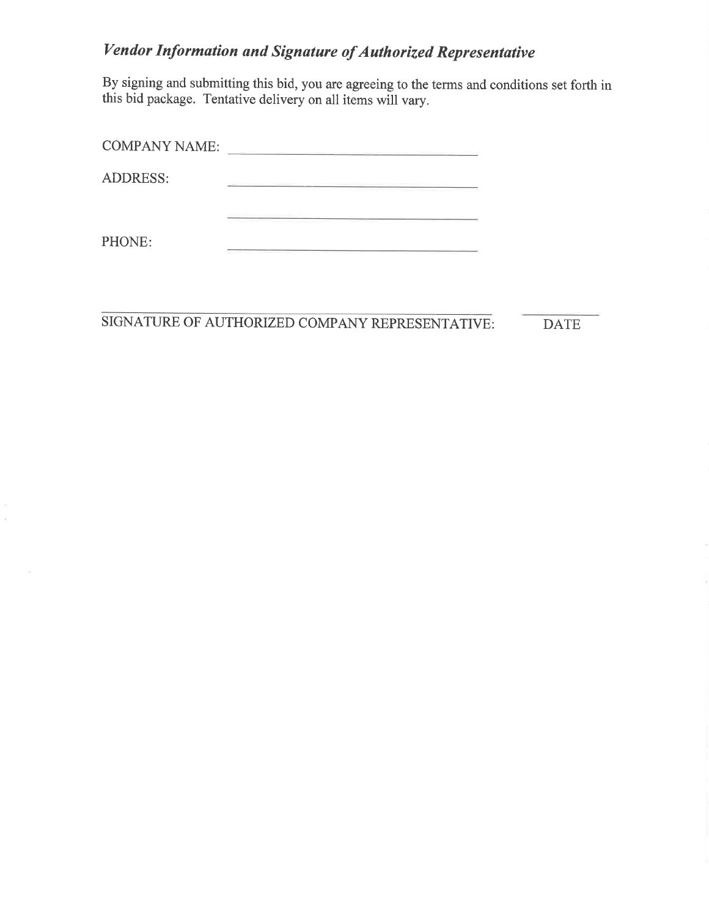## **Vendor Information and Signature of Authorized Representative**

By signing and submitting this bid, you are agreeing to the terms and conditions set forth in this bid package. Tentative delivery on all items will vary.

| <b>COMPANY NAME:</b> |  |
|----------------------|--|
| <b>ADDRESS:</b>      |  |
|                      |  |
| PHONE:               |  |

SIGNATURE OF AUTHORIZED COMPANY REPRESENTATIVE:

 $\tilde{U}$  $\tilde{\nu}$  **DATE**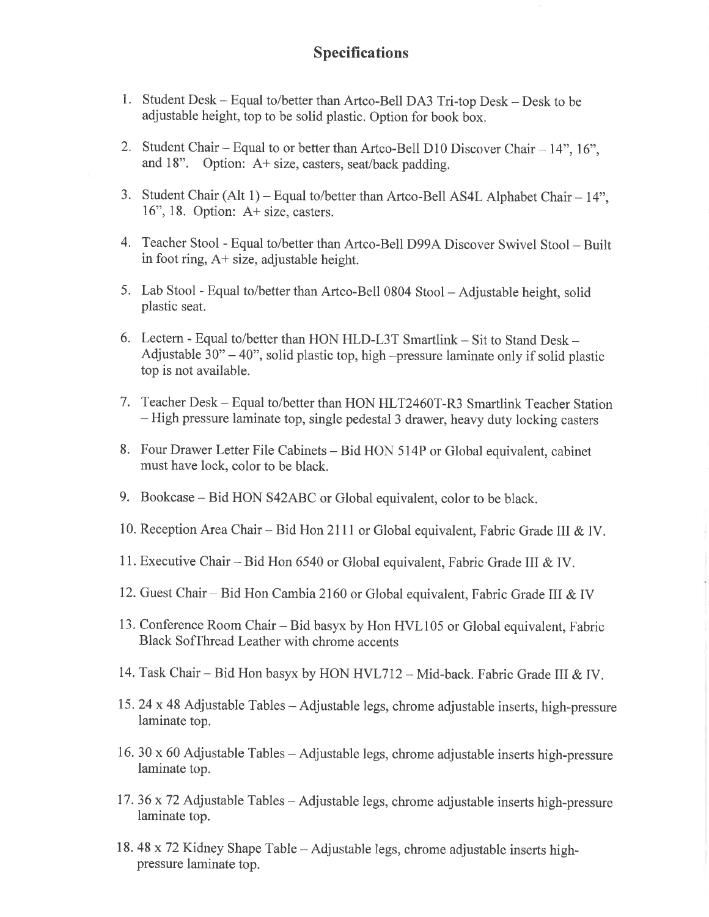#### **Specifications**

- 1. Student Desk Equal to/better than Artco-Bell DA3 Tri-top Desk Desk to be adjustable height, top to be solid plastic. Option for book box.
- 2. Student Chair Equal to or better than Artco-Bell D10 Discover Chair 14", 16", and 18". Option: A+ size, casters, seat/back padding.
- 3. Student Chair (Alt 1) Equal to/better than Artco-Bell AS4L Alphabet Chair 14", 16", 18. Option: A+ size, casters.
- 4. Teacher Stool Equal to/better than Artco-Bell D99A Discover Swivel Stool Built in foot ring,  $A+$  size, adjustable height.
- 5. Lab Stool Equal to/better than Artco-Bell 0804 Stool Adjustable height, solid plastic seat.
- 6. Lectern Equal to/better than HON HLD-L3T Smartlink Sit to Stand Desk -Adjustable  $30^{\circ}$  – 40", solid plastic top, high –pressure laminate only if solid plastic top is not available.
- 7. Teacher Desk Equal to/better than HON HLT2460T-R3 Smartlink Teacher Station - High pressure laminate top, single pedestal 3 drawer, heavy duty locking casters
- 8. Four Drawer Letter File Cabinets Bid HON 514P or Global equivalent, cabinet must have lock, color to be black.
- 9. Bookcase Bid HON S42ABC or Global equivalent, color to be black.
- 10. Reception Area Chair Bid Hon 2111 or Global equivalent, Fabric Grade III & IV.
- 11. Executive Chair Bid Hon 6540 or Global equivalent, Fabric Grade III & IV.
- 12. Guest Chair Bid Hon Cambia 2160 or Global equivalent, Fabric Grade III & IV
- 13. Conference Room Chair Bid basyx by Hon HVL105 or Global equivalent, Fabric Black SofThread Leather with chrome accents
- 14. Task Chair Bid Hon basyx by HON HVL712 Mid-back. Fabric Grade III & IV.
- 15. 24 x 48 Adjustable Tables Adjustable legs, chrome adjustable inserts, high-pressure laminate top.
- 16. 30 x 60 Adjustable Tables Adjustable legs, chrome adjustable inserts high-pressure laminate top.
- 17. 36 x 72 Adjustable Tables Adjustable legs, chrome adjustable inserts high-pressure laminate top.
- 18.48 x 72 Kidney Shape Table Adjustable legs, chrome adjustable inserts highpressure laminate top.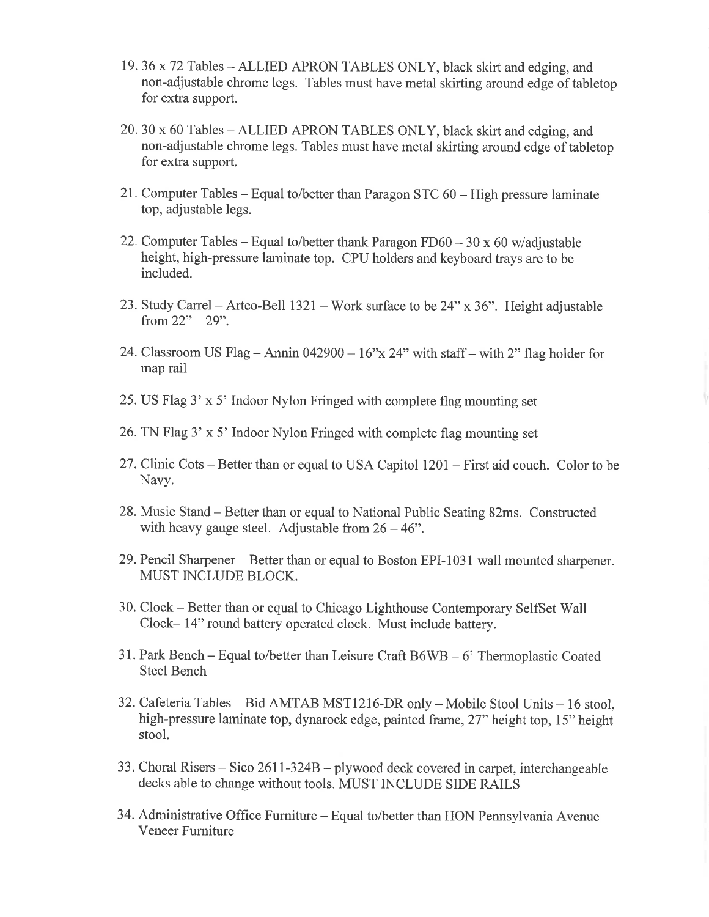- 19.36 x 72 Tables ALLIED APRON TABLES ONLY, black skirt and edging, and non-adjustable chrome legs. Tables must have metal skirting around edge of tabletop for extra support.
- 20. 30 x 60 Tables ALLIED APRON TABLES ONLY, black skirt and edging, and non-adjustable chrome legs. Tables must have metal skirting around edge of tabletop for extra support.
- 21. Computer Tables Equal to/better than Paragon STC 60 High pressure laminate top, adjustable legs.
- 22. Computer Tables Equal to/better thank Paragon  $F D60 30 \times 60$  w/adjustable height, high-pressure laminate top. CPU holders and keyboard trays are to be included.
- 23. Study Carrel Artco-Bell  $1321$  Work surface to be  $24$ " x 36". Height adjustable from  $22" - 29"$ .
- 24. Classroom US Flag Annin 042900  $16$ "x 24" with staff with 2" flag holder for map rail
- 25. US Flag 3' x 5' Indoor Nylon Fringed with complete flag mounting set
- 26. TN Flag 3' x 5' Indoor Nylon Fringed with complete flag mounting set
- 27. Clinic Cots Better than or equal to USA Capitol 1201 First aid couch. Color to be Navy.
- 28. Music Stand Better than or equal to National Public Seating 82ms. Constructed with heavy gauge steel. Adjustable from  $26 - 46$ ".
- 29. Pencil Sharpener Better than or equal to Boston EPI-1031 wall mounted sharpener. **MUST INCLUDE BLOCK.**
- 30. Clock Better than or equal to Chicago Lighthouse Contemporary SelfSet Wall Clock-14" round battery operated clock. Must include battery.
- 31. Park Bench Equal to/better than Leisure Craft  $B6WB 6'$  Thermoplastic Coated **Steel Bench**
- 32. Cafeteria Tables Bid AMTAB MST1216-DR only Mobile Stool Units 16 stool, high-pressure laminate top, dynarock edge, painted frame, 27" height top, 15" height stool.
- 33. Choral Risers Sico 2611-324B plywood deck covered in carpet, interchangeable decks able to change without tools. MUST INCLUDE SIDE RAILS
- 34. Administrative Office Furniture Equal to/better than HON Pennsylvania Avenue Veneer Furniture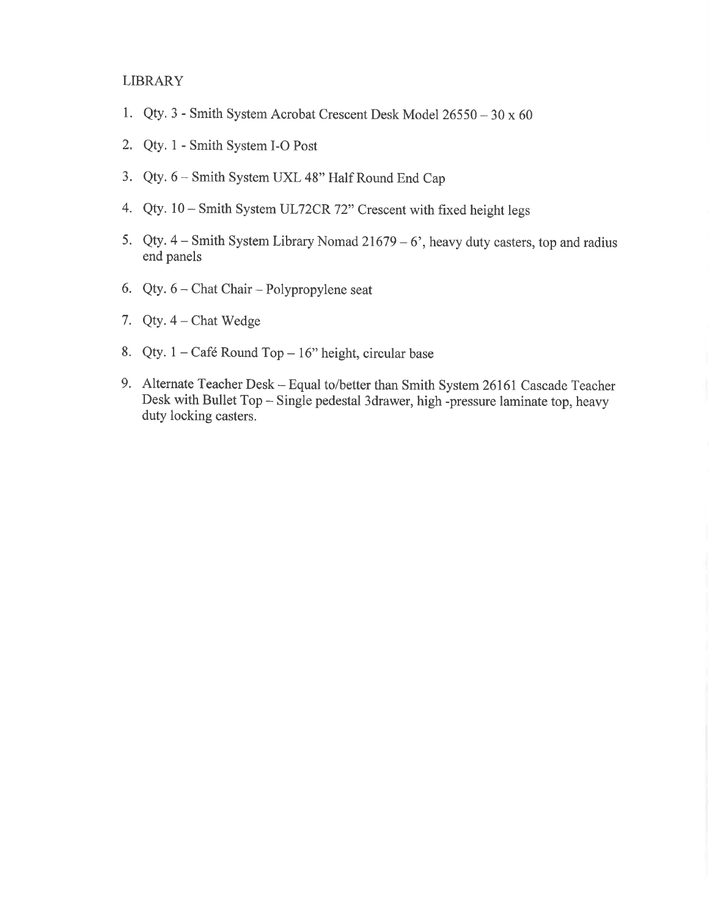#### **LIBRARY**

- 1. Qty. 3 Smith System Acrobat Crescent Desk Model 26550 30 x 60
- 2. Qty. 1 Smith System I-O Post
- 3. Qty. 6 Smith System UXL 48" Half Round End Cap
- 4. Qty. 10 Smith System UL72CR 72" Crescent with fixed height legs
- 5. Qty.  $4 S$ mith System Library Nomad 21679 6', heavy duty casters, top and radius end panels
- 6. Qty.  $6 -$ Chat Chair Polypropylene seat
- 7. Qty.  $4$  Chat Wedge
- 8. Qty.  $1 \text{Café Round Top} 16$ " height, circular base
- 9. Alternate Teacher Desk Equal to/better than Smith System 26161 Cascade Teacher Desk with Bullet Top - Single pedestal 3drawer, high -pressure laminate top, heavy duty locking casters.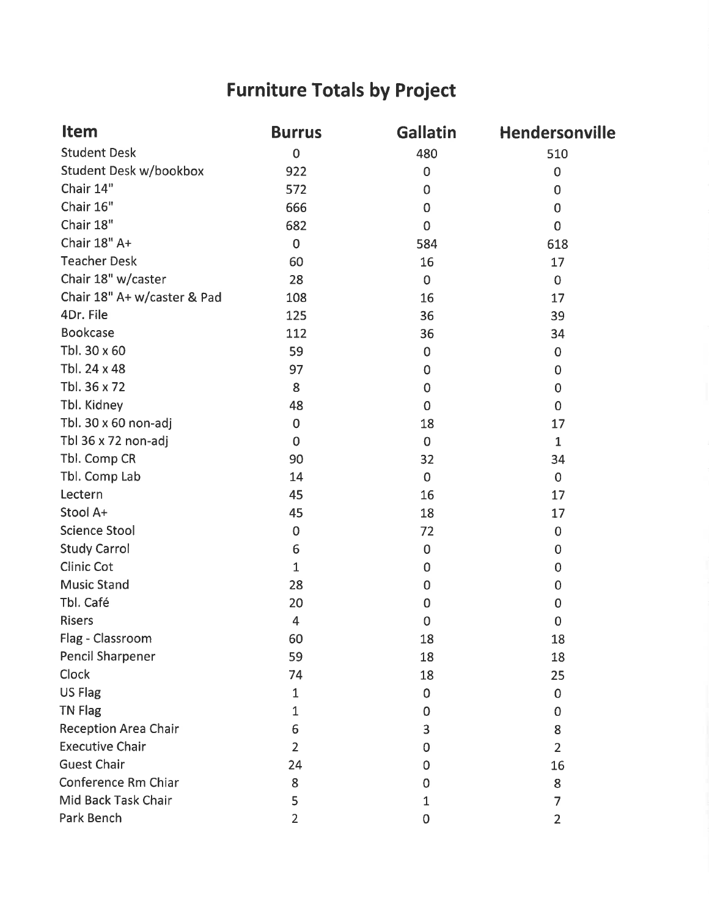# **Furniture Totals by Project**

| <b>Item</b>                   | <b>Burrus</b>  | <b>Gallatin</b> | Hendersonville |
|-------------------------------|----------------|-----------------|----------------|
| <b>Student Desk</b>           | $\mathbf 0$    | 480             | 510            |
| <b>Student Desk w/bookbox</b> | 922            | $\pmb{0}$       | $\mathbf 0$    |
| Chair 14"                     | 572            | $\mathbf 0$     | $\mathbf 0$    |
| Chair 16"                     | 666            | $\mathbf 0$     | $\overline{0}$ |
| Chair 18"                     | 682            | $\mathbf 0$     | $\mathbf 0$    |
| Chair 18" A+                  | $\mathbf 0$    | 584             | 618            |
| <b>Teacher Desk</b>           | 60             | 16              | 17             |
| Chair 18" w/caster            | 28             | $\pmb{0}$       | $\mathbf 0$    |
| Chair 18" A+ w/caster & Pad   | 108            | 16              | 17             |
| 4Dr. File                     | 125            | 36              | 39             |
| <b>Bookcase</b>               | 112            | 36              | 34             |
| Tbl. 30 x 60                  | 59             | $\mathbf 0$     | $\mathbf 0$    |
| Tbl. 24 x 48                  | 97             | $\mathbf 0$     | 0              |
| Tbl. 36 x 72                  | 8              | $\mathbf 0$     | $\mathbf 0$    |
| Tbl. Kidney                   | 48             | $\overline{0}$  | $\mathbf 0$    |
| Tbl. 30 x 60 non-adj          | $\mathbf 0$    | 18              | 17             |
| Tbl 36 x 72 non-adj           | $\mathbf 0$    | $\mathbf 0$     | $\mathbf{1}$   |
| Tbl. Comp CR                  | 90             | 32              | 34             |
| Tbl. Comp Lab                 | 14             | $\mathbf 0$     | $\mathbf 0$    |
| Lectern                       | 45             | 16              | 17             |
| Stool A+                      | 45             | 18              | 17             |
| <b>Science Stool</b>          | $\overline{0}$ | 72              | 0              |
| <b>Study Carrol</b>           | 6              | 0               | 0              |
| <b>Clinic Cot</b>             | $\mathbf{1}$   | $\mathbf 0$     | 0              |
| <b>Music Stand</b>            | 28             | 0               | 0              |
| Tbl. Café                     | 20             | 0               | 0              |
| <b>Risers</b>                 | $\overline{4}$ | $\overline{0}$  | $\mathbf 0$    |
| Flag - Classroom              | 60             | 18              | 18             |
| <b>Pencil Sharpener</b>       | 59             | 18              | 18             |
| Clock                         | 74             | 18              | 25             |
| <b>US Flag</b>                | 1              | 0               | 0              |
| <b>TN Flag</b>                | 1              | 0               | 0              |
| <b>Reception Area Chair</b>   | 6              | 3               | 8              |
| <b>Executive Chair</b>        | $\overline{2}$ | 0               | $\overline{2}$ |
| <b>Guest Chair</b>            | 24             | 0               | 16             |
| Conference Rm Chiar           | 8              | 0               | 8              |
| Mid Back Task Chair           | 5              | $\mathbf{1}$    | 7              |
| Park Bench                    | $\overline{2}$ | 0               | $\overline{2}$ |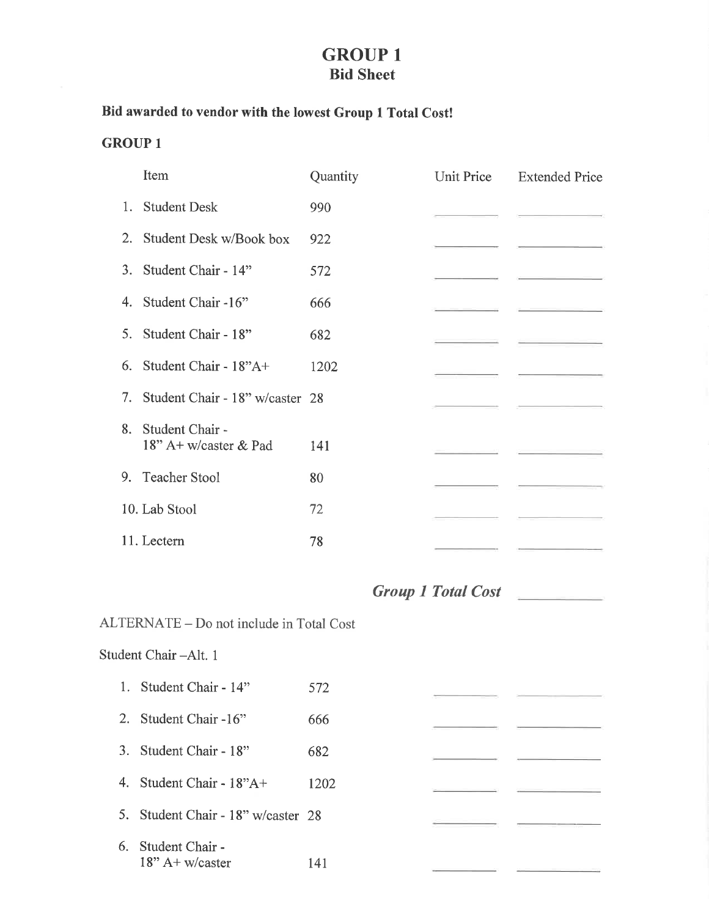### **GROUP 1 Bid Sheet**

#### Bid awarded to vendor with the lowest Group 1 Total Cost!

#### **GROUP 1**

|    | Item                                     | Quantity | Unit Price | <b>Extended Price</b> |
|----|------------------------------------------|----------|------------|-----------------------|
|    | 1. Student Desk                          | 990      |            |                       |
|    | 2. Student Desk w/Book box               | 922      |            |                       |
|    | 3. Student Chair - 14"                   | 572      |            |                       |
|    | 4. Student Chair -16"                    | 666      |            |                       |
|    | 5. Student Chair - 18"                   | 682      |            |                       |
|    | 6. Student Chair - $18"A+$               | 1202     |            |                       |
|    | 7. Student Chair - 18" w/caster 28       |          |            |                       |
| 8. | Student Chair -<br>18" A+ w/caster & Pad | 141      |            |                       |
|    | 9. Teacher Stool                         | 80       |            |                       |
|    | 10. Lab Stool                            | 72       |            |                       |
|    | 11. Lectern                              | 78       |            |                       |

### Group 1 Total Cost

ЦÚ.

## ALTERNATE - Do not include in Total Cost Student Chair-Alt. 1 1. Student Chair - 14" 572

- 2. Student Chair -16" 666
- 3. Student Chair 18" 682
- 4. Student Chair 18"A+ 1202
- 5. Student Chair 18" w/caster 28
- 6. Student Chair - $18"$  A+ w/caster 141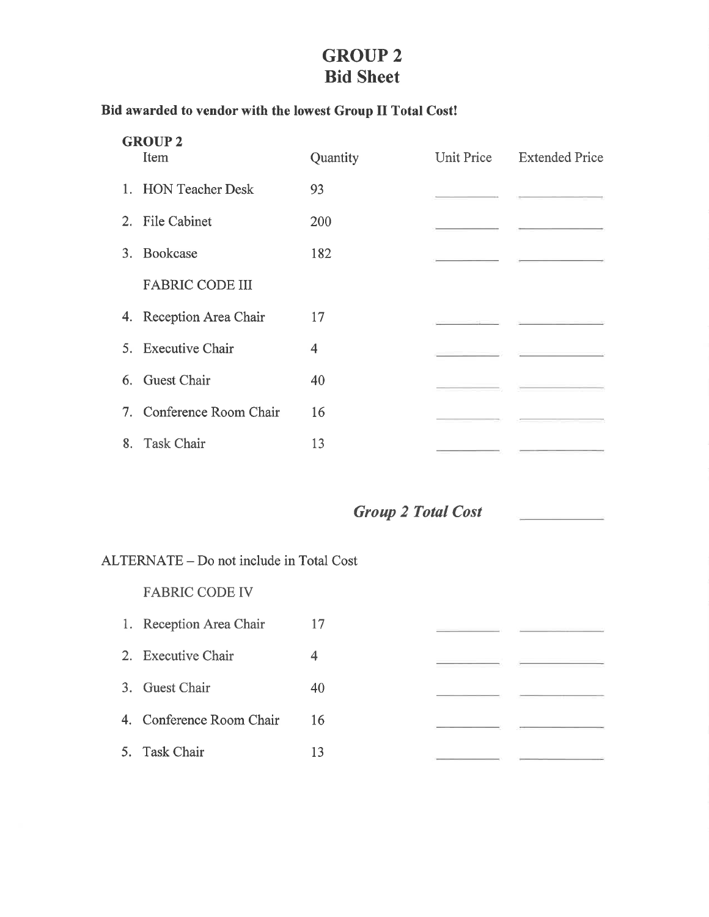### **GROUP 2 Bid Sheet**

#### Bid awarded to vendor with the lowest Group II Total Cost!

| <b>GROUP 2</b>           |                |                           |
|--------------------------|----------------|---------------------------|
| Item                     | Quantity       | Unit Price Extended Price |
| 1. HON Teacher Desk      | 93             |                           |
| 2. File Cabinet          | 200            |                           |
| 3. Bookcase              | 182            |                           |
| <b>FABRIC CODE III</b>   |                |                           |
| 4. Reception Area Chair  | 17             |                           |
| 5. Executive Chair       | $\overline{4}$ |                           |
| 6. Guest Chair           | 40             |                           |
| 7. Conference Room Chair | 16             |                           |
| 8. Task Chair            | 13             |                           |

**Group 2 Total Cost** 

ALTERNATE - Do not include in Total Cost

**FABRIC CODE IV** 

1. Reception Area Chair 17 2. Executive Chair  $\overline{4}$ 3. Guest Chair 40 4. Conference Room Chair 16 5. Task Chair 13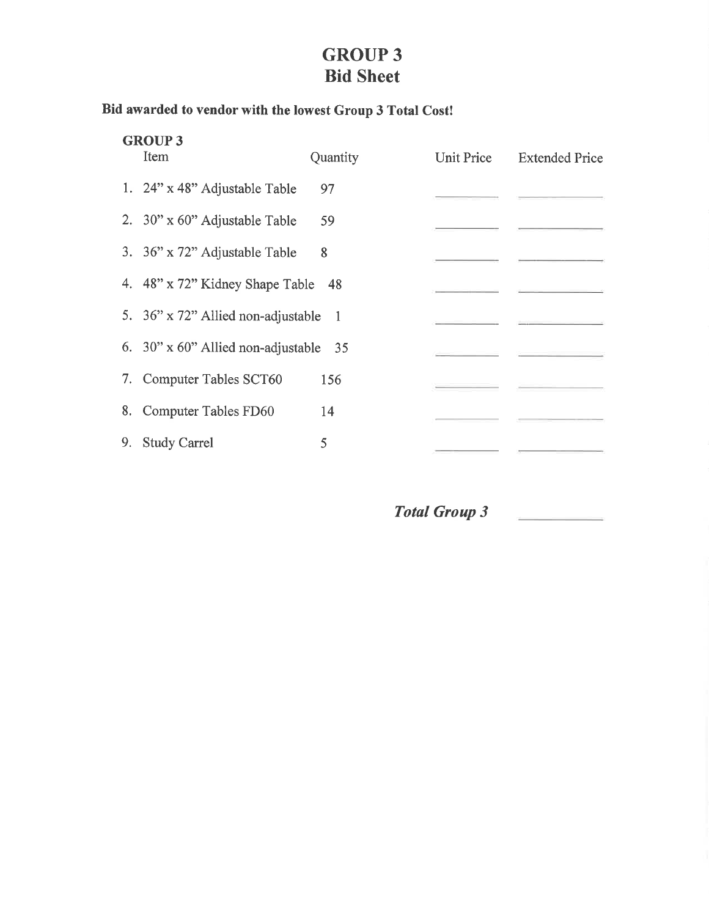## **GROUP 3 Bid Sheet**

## Bid awarded to vendor with the lowest Group 3 Total Cost!

|    | <b>GROUP 3</b><br>Item                       | Quantity | Unit Price | <b>Extended Price</b> |
|----|----------------------------------------------|----------|------------|-----------------------|
|    |                                              |          |            |                       |
|    | 1. $24$ " x 48" Adjustable Table             | 97       |            |                       |
|    | 2. 30" x 60" Adjustable Table                | 59       |            |                       |
|    | 3. 36" x 72" Adjustable Table                | 8        |            |                       |
|    | 4. 48" x 72" Kidney Shape Table 48           |          |            |                       |
|    | 5. 36" x 72" Allied non-adjustable 1         |          |            |                       |
|    | 6. $30" \times 60"$ Allied non-adjustable 35 |          |            |                       |
|    | 7. Computer Tables SCT60                     | 156      |            |                       |
|    | 8. Computer Tables FD60                      | 14       |            |                       |
| 9. | <b>Study Carrel</b>                          | 5        |            |                       |
|    |                                              |          |            |                       |

Total Group 3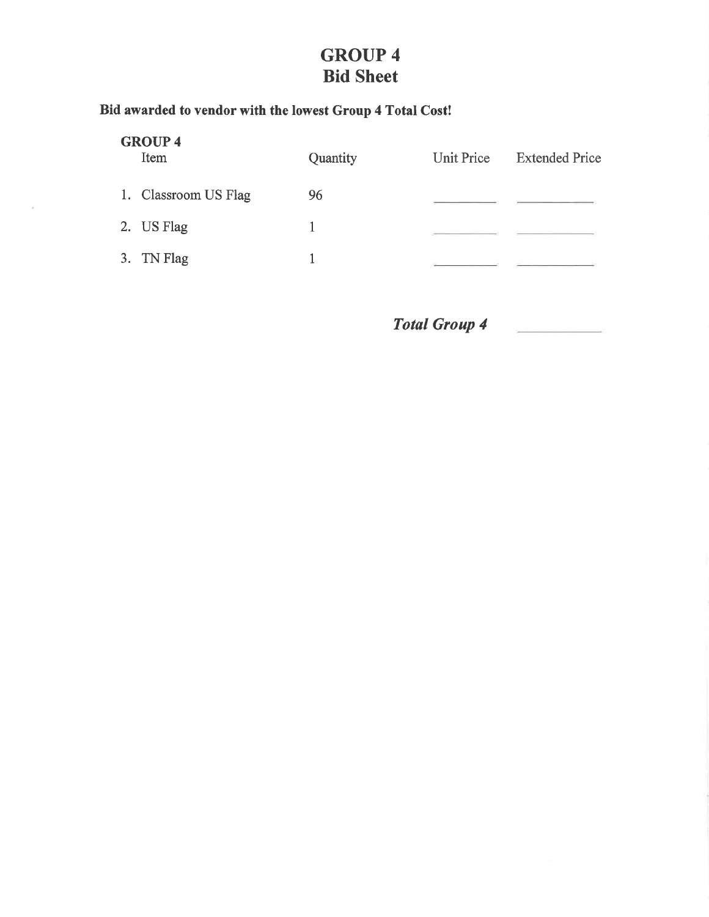## **GROUP 4 Bid Sheet**

### Bid awarded to vendor with the lowest Group 4 Total Cost!

 $\bar{\kappa}$ 

| <b>GROUP 4</b><br>Item | Quantity | <b>Unit Price</b> | <b>Extended Price</b> |
|------------------------|----------|-------------------|-----------------------|
| 1. Classroom US Flag   | 96       |                   |                       |
| 2. US Flag             |          |                   |                       |
| 3. TN Flag             |          |                   |                       |
|                        |          |                   |                       |

Total Group 4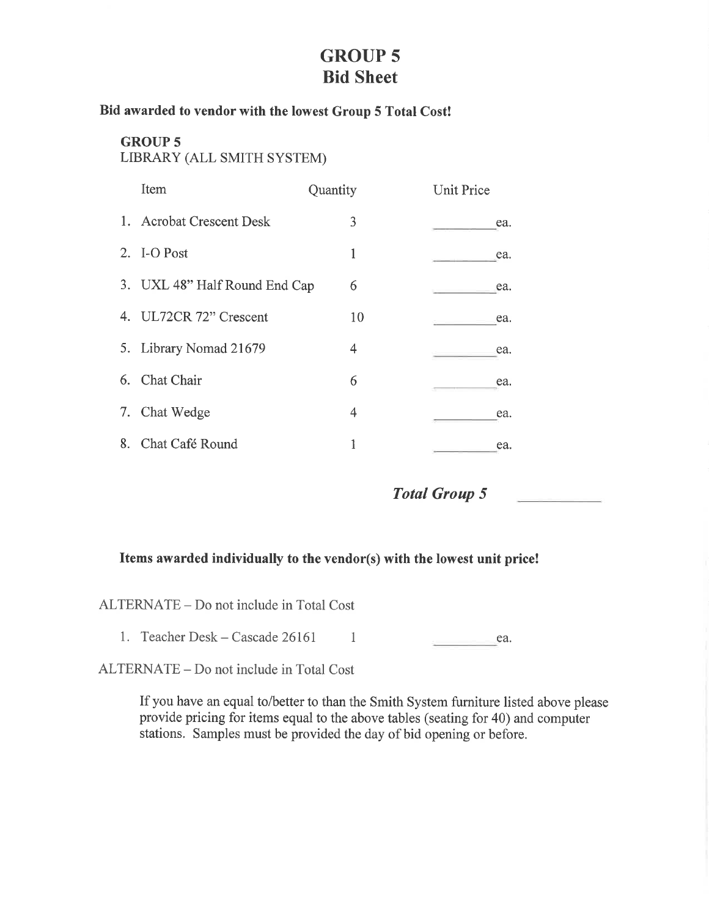### **GROUP 5 Bid Sheet**

#### Bid awarded to vendor with the lowest Group 5 Total Cost!

#### **GROUP 5** LIBRARY (ALL SMITH SYSTEM)

|    | Item                          | Quantity | <b>Unit Price</b> |
|----|-------------------------------|----------|-------------------|
|    | 1. Acrobat Crescent Desk      | 3        | ea.               |
|    | 2. I-O Post                   | 1        | ea.               |
|    | 3. UXL 48" Half Round End Cap | 6        | ea.               |
|    | 4. UL72CR 72" Crescent        | 10       | ea.               |
|    | 5. Library Nomad 21679        | 4        | ea.               |
|    | 6. Chat Chair                 | 6        | ea.               |
|    | 7. Chat Wedge                 | 4        | ea.               |
| 8. | Chat Café Round               | 1        | ea.               |

**Total Group 5** 

#### Items awarded individually to the vendor(s) with the lowest unit price!

ALTERNATE – Do not include in Total Cost

1. Teacher Desk – Cascade 26161  $\sim$  1 ea. 

ALTERNATE - Do not include in Total Cost

If you have an equal to/better to than the Smith System furniture listed above please provide pricing for items equal to the above tables (seating for 40) and computer stations. Samples must be provided the day of bid opening or before.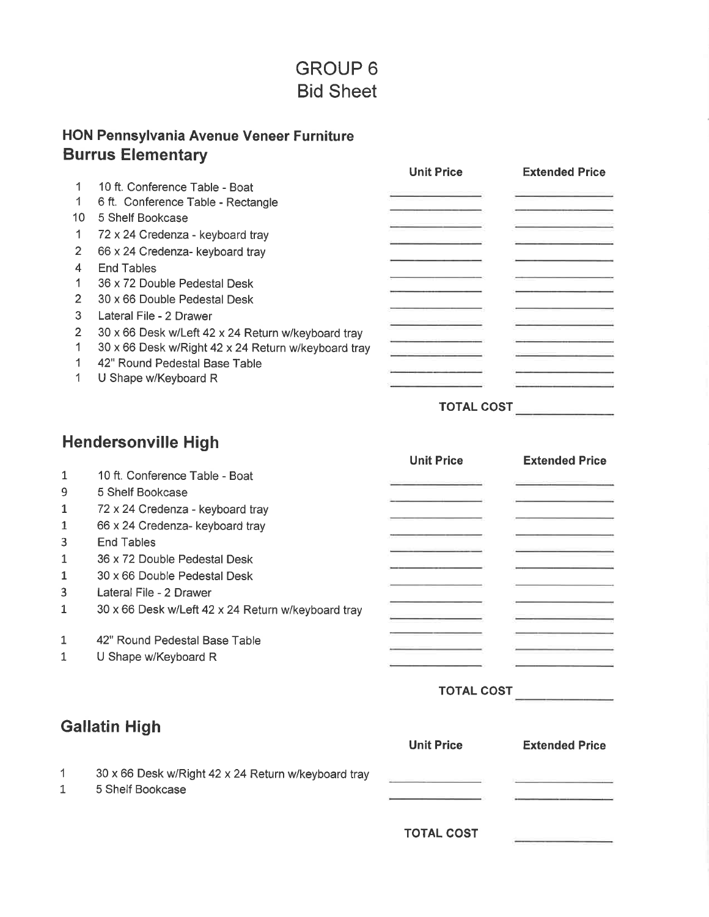## **GROUP 6 Bid Sheet**

### HON Pennsylvania Avenue Veneer Furniture **Burrus Elementary**

|                |                                                     | <b>Unit Price</b> | <b>Extended Price</b> |
|----------------|-----------------------------------------------------|-------------------|-----------------------|
|                | 10 ft. Conference Table - Boat                      |                   |                       |
|                | 6 ft. Conference Table - Rectangle                  |                   |                       |
| 10             | 5 Shelf Bookcase                                    |                   |                       |
|                | 72 x 24 Credenza - keyboard tray                    |                   |                       |
| 2              | 66 x 24 Credenza- keyboard tray                     |                   |                       |
| 4              | <b>End Tables</b>                                   |                   |                       |
|                | 36 x 72 Double Pedestal Desk                        |                   |                       |
| $\overline{2}$ | 30 x 66 Double Pedestal Desk                        |                   |                       |
| 3              | Lateral File - 2 Drawer                             |                   |                       |
| 2              | 30 x 66 Desk w/Left 42 x 24 Return w/keyboard tray  |                   |                       |
|                | 30 x 66 Desk w/Right 42 x 24 Return w/keyboard tray |                   |                       |
|                | 42" Round Pedestal Base Table                       |                   |                       |
|                | U Shape w/Keyboard R                                |                   |                       |
|                |                                                     |                   |                       |

## TOTAL COST

## **Hendersonville High**

|              |                                                     | <b>Unit Price</b> | <b>Extended Price</b> |
|--------------|-----------------------------------------------------|-------------------|-----------------------|
| 1            | 10 ft. Conference Table - Boat                      |                   |                       |
| 9            | 5 Shelf Bookcase                                    |                   |                       |
| 1            | 72 x 24 Credenza - keyboard tray                    |                   |                       |
| 1            | 66 x 24 Credenza- keyboard tray                     |                   |                       |
| 3            | <b>End Tables</b>                                   |                   |                       |
| 1            | 36 x 72 Double Pedestal Desk                        |                   |                       |
| $\mathbf{1}$ | 30 x 66 Double Pedestal Desk                        |                   |                       |
| 3            | Lateral File - 2 Drawer                             |                   |                       |
| 1            | 30 x 66 Desk w/Left 42 x 24 Return w/keyboard tray  |                   |                       |
| 1            | 42" Round Pedestal Base Table                       |                   |                       |
| 1            | U Shape w/Keyboard R                                |                   |                       |
|              |                                                     | <b>TOTAL COST</b> |                       |
|              | <b>Gallatin High</b>                                |                   |                       |
|              |                                                     | <b>Unit Price</b> | <b>Extended Price</b> |
| 1            | 30 x 66 Desk w/Right 42 x 24 Return w/keyboard tray |                   |                       |
| 1            | 5 Shelf Bookcase                                    |                   |                       |
|              |                                                     | <b>TOTAL COST</b> |                       |